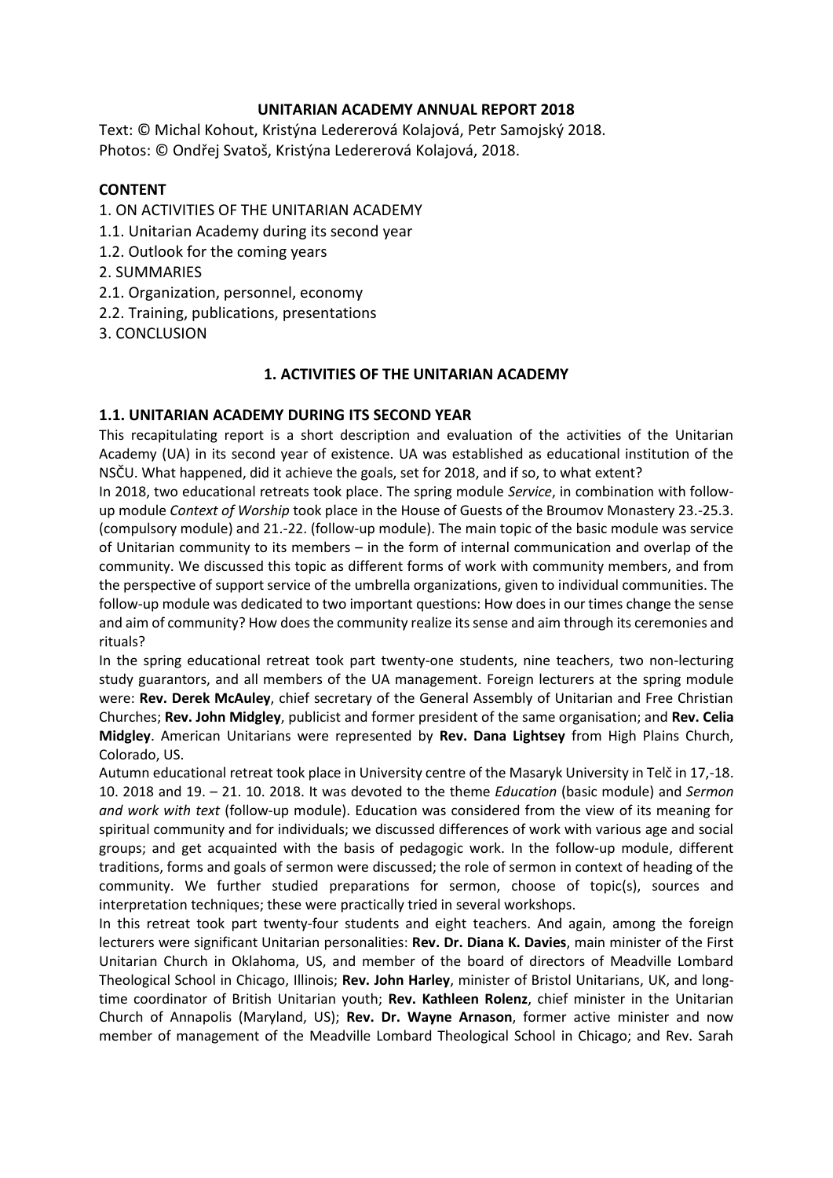## **UNITARIAN ACADEMY ANNUAL REPORT 2018**

Text: © Michal Kohout, Kristýna Ledererová Kolajová, Petr Samojský 2018. Photos: © Ondřej Svatoš, Kristýna Ledererová Kolajová, 2018.

## **CONTENT**

- 1. ON ACTIVITIES OF THE UNITARIAN ACADEMY
- 1.1. Unitarian Academy during its second year
- 1.2. Outlook for the coming years
- 2. SUMMARIES
- 2.1. Organization, personnel, economy
- 2.2. Training, publications, presentations
- 3. CONCLUSION

## **1. ACTIVITIES OF THE UNITARIAN ACADEMY**

## **1.1. UNITARIAN ACADEMY DURING ITS SECOND YEAR**

This recapitulating report is a short description and evaluation of the activities of the Unitarian Academy (UA) in its second year of existence. UA was established as educational institution of the NSČU. What happened, did it achieve the goals, set for 2018, and if so, to what extent?

In 2018, two educational retreats took place. The spring module *Service*, in combination with followup module *Context of Worship* took place in the House of Guests of the Broumov Monastery 23.-25.3. (compulsory module) and 21.-22. (follow-up module). The main topic of the basic module was service of Unitarian community to its members – in the form of internal communication and overlap of the community. We discussed this topic as different forms of work with community members, and from the perspective of support service of the umbrella organizations, given to individual communities. The follow-up module was dedicated to two important questions: How does in our times change the sense and aim of community? How does the community realize its sense and aim through its ceremonies and rituals?

In the spring educational retreat took part twenty-one students, nine teachers, two non-lecturing study guarantors, and all members of the UA management. Foreign lecturers at the spring module were: **Rev. Derek McAuley**, chief secretary of the General Assembly of Unitarian and Free Christian Churches; **Rev. John Midgley**, publicist and former president of the same organisation; and **Rev. Celia Midgley**. American Unitarians were represented by **Rev. Dana Lightsey** from High Plains Church, Colorado, US.

Autumn educational retreat took place in University centre of the Masaryk University in Telč in 17,-18. 10. 2018 and 19. – 21. 10. 2018. It was devoted to the theme *Education* (basic module) and *Sermon and work with text* (follow-up module). Education was considered from the view of its meaning for spiritual community and for individuals; we discussed differences of work with various age and social groups; and get acquainted with the basis of pedagogic work. In the follow-up module, different traditions, forms and goals of sermon were discussed; the role of sermon in context of heading of the community. We further studied preparations for sermon, choose of topic(s), sources and interpretation techniques; these were practically tried in several workshops.

In this retreat took part twenty-four students and eight teachers. And again, among the foreign lecturers were significant Unitarian personalities: **Rev. Dr. Diana K. Davies**, main minister of the First Unitarian Church in Oklahoma, US, and member of the board of directors of Meadville Lombard Theological School in Chicago, Illinois; **Rev. John Harley**, minister of Bristol Unitarians, UK, and longtime coordinator of British Unitarian youth; **Rev. Kathleen Rolenz**, chief minister in the Unitarian Church of Annapolis (Maryland, US); **Rev. Dr. Wayne Arnason**, former active minister and now member of management of the Meadville Lombard Theological School in Chicago; and Rev. Sarah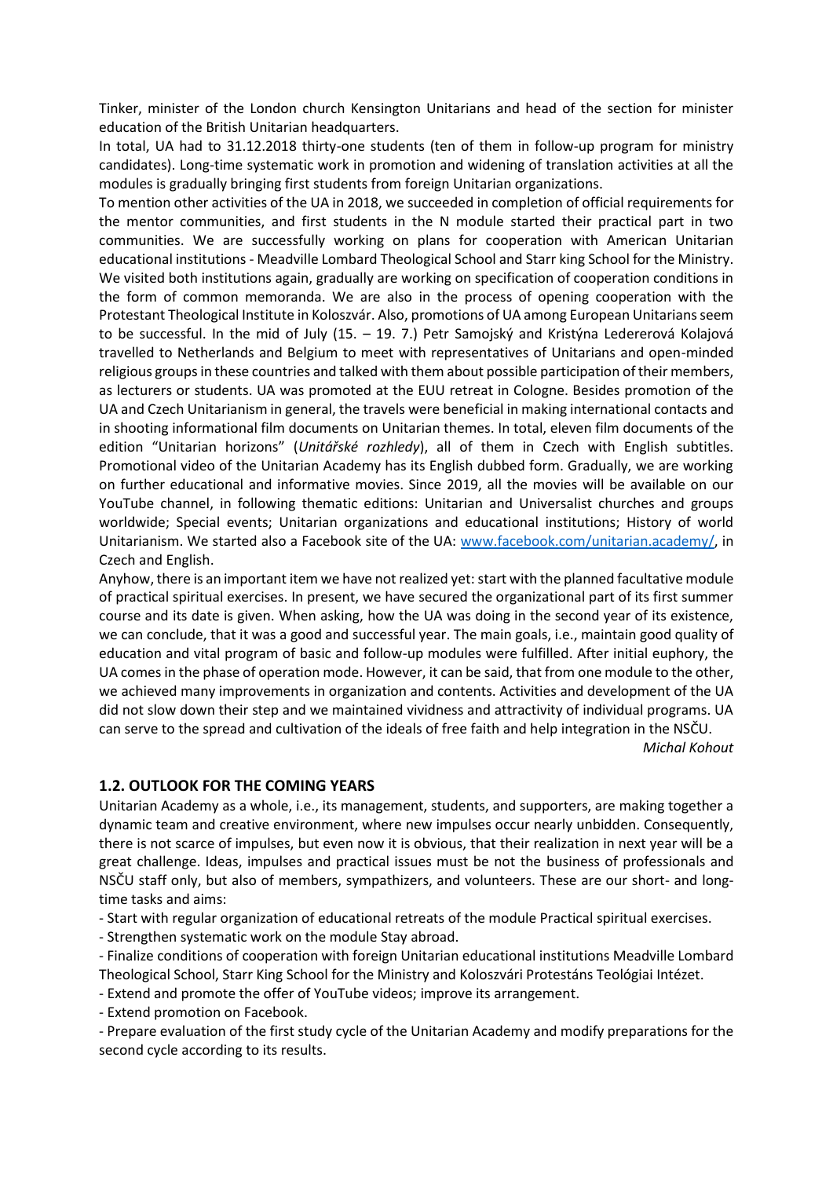Tinker, minister of the London church Kensington Unitarians and head of the section for minister education of the British Unitarian headquarters.

In total, UA had to 31.12.2018 thirty-one students (ten of them in follow-up program for ministry candidates). Long-time systematic work in promotion and widening of translation activities at all the modules is gradually bringing first students from foreign Unitarian organizations.

To mention other activities of the UA in 2018, we succeeded in completion of official requirements for the mentor communities, and first students in the N module started their practical part in two communities. We are successfully working on plans for cooperation with American Unitarian educational institutions - Meadville Lombard Theological School and Starr king School for the Ministry. We visited both institutions again, gradually are working on specification of cooperation conditions in the form of common memoranda. We are also in the process of opening cooperation with the Protestant Theological Institute in Koloszvár. Also, promotions of UA among European Unitarians seem to be successful. In the mid of July (15. – 19. 7.) Petr Samojský and Kristýna Ledererová Kolajová travelled to Netherlands and Belgium to meet with representatives of Unitarians and open-minded religious groups in these countries and talked with them about possible participation of their members, as lecturers or students. UA was promoted at the EUU retreat in Cologne. Besides promotion of the UA and Czech Unitarianism in general, the travels were beneficial in making international contacts and in shooting informational film documents on Unitarian themes. In total, eleven film documents of the edition "Unitarian horizons" (*Unitářské rozhledy*), all of them in Czech with English subtitles. Promotional video of the Unitarian Academy has its English dubbed form. Gradually, we are working on further educational and informative movies. Since 2019, all the movies will be available on our YouTube channel, in following thematic editions: Unitarian and Universalist churches and groups worldwide; Special events; Unitarian organizations and educational institutions; History of world Unitarianism. We started also a Facebook site of the UA: [www.facebook.com/unitarian.academy/,](http://www.facebook.com/unitarian.academy/) in Czech and English.

Anyhow, there is an important item we have not realized yet: start with the planned facultative module of practical spiritual exercises. In present, we have secured the organizational part of its first summer course and its date is given. When asking, how the UA was doing in the second year of its existence, we can conclude, that it was a good and successful year. The main goals, i.e., maintain good quality of education and vital program of basic and follow-up modules were fulfilled. After initial euphory, the UA comes in the phase of operation mode. However, it can be said, that from one module to the other, we achieved many improvements in organization and contents. Activities and development of the UA did not slow down their step and we maintained vividness and attractivity of individual programs. UA can serve to the spread and cultivation of the ideals of free faith and help integration in the NSČU.

*Michal Kohout*

## **1.2. OUTLOOK FOR THE COMING YEARS**

Unitarian Academy as a whole, i.e., its management, students, and supporters, are making together a dynamic team and creative environment, where new impulses occur nearly unbidden. Consequently, there is not scarce of impulses, but even now it is obvious, that their realization in next year will be a great challenge. Ideas, impulses and practical issues must be not the business of professionals and NSČU staff only, but also of members, sympathizers, and volunteers. These are our short- and longtime tasks and aims:

- Start with regular organization of educational retreats of the module Practical spiritual exercises.

- Strengthen systematic work on the module Stay abroad.

- Finalize conditions of cooperation with foreign Unitarian educational institutions Meadville Lombard Theological School, Starr King School for the Ministry and Koloszvári Protestáns Teológiai Intézet.

- Extend and promote the offer of YouTube videos; improve its arrangement.

- Extend promotion on Facebook.

- Prepare evaluation of the first study cycle of the Unitarian Academy and modify preparations for the second cycle according to its results.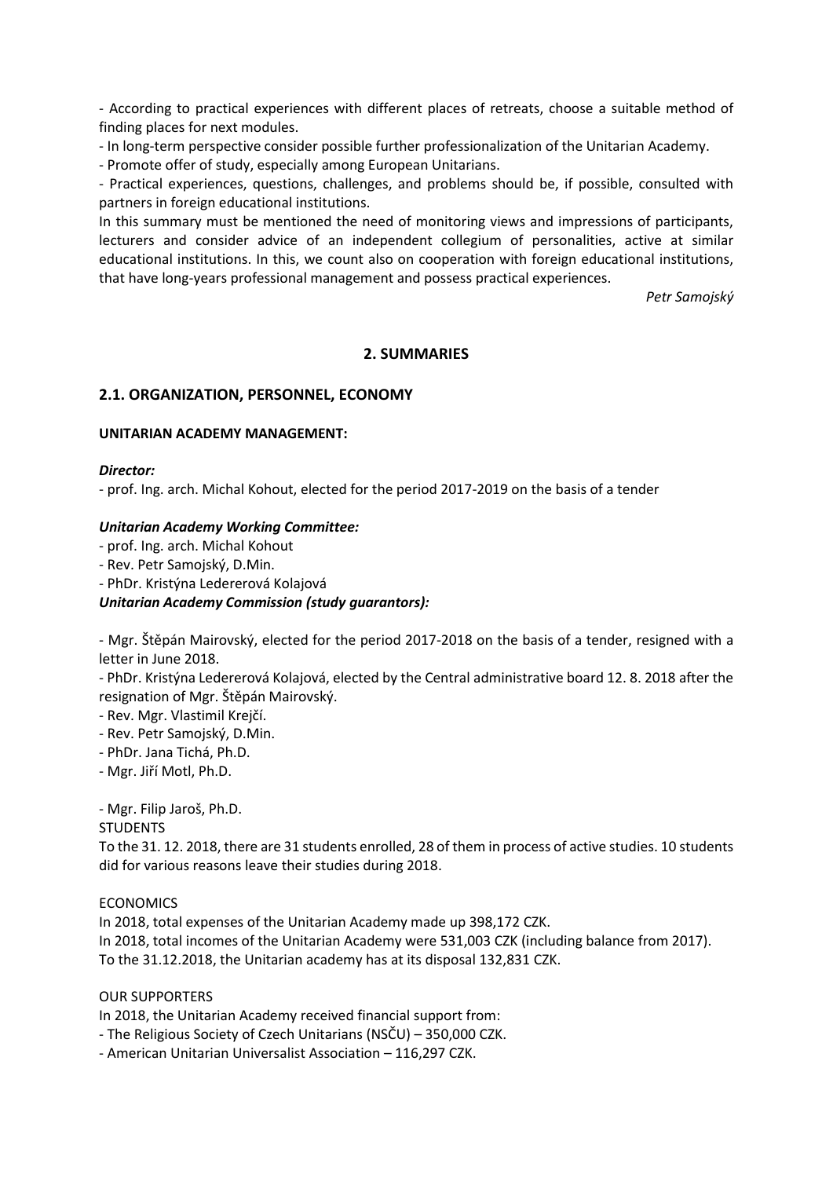- According to practical experiences with different places of retreats, choose a suitable method of finding places for next modules.

- In long-term perspective consider possible further professionalization of the Unitarian Academy.

- Promote offer of study, especially among European Unitarians.

- Practical experiences, questions, challenges, and problems should be, if possible, consulted with partners in foreign educational institutions.

In this summary must be mentioned the need of monitoring views and impressions of participants, lecturers and consider advice of an independent collegium of personalities, active at similar educational institutions. In this, we count also on cooperation with foreign educational institutions, that have long-years professional management and possess practical experiences.

*Petr Samojský*

## **2. SUMMARIES**

### **2.1. ORGANIZATION, PERSONNEL, ECONOMY**

#### **UNITARIAN ACADEMY MANAGEMENT:**

#### *Director:*

- prof. Ing. arch. Michal Kohout, elected for the period 2017-2019 on the basis of a tender

#### *Unitarian Academy Working Committee:*

- prof. Ing. arch. Michal Kohout

- Rev. Petr Samojský, D.Min.

- PhDr. Kristýna Ledererová Kolajová

#### *Unitarian Academy Commission (study guarantors):*

- Mgr. Štěpán Mairovský, elected for the period 2017-2018 on the basis of a tender, resigned with a letter in June 2018.

- PhDr. Kristýna Ledererová Kolajová, elected by the Central administrative board 12. 8. 2018 after the resignation of Mgr. Štěpán Mairovský.

- Rev. Mgr. Vlastimil Krejčí.

- Rev. Petr Samojský, D.Min.
- PhDr. Jana Tichá, Ph.D.

- Mgr. Jiří Motl, Ph.D.

- Mgr. Filip Jaroš, Ph.D.

#### **STUDENTS**

To the 31. 12. 2018, there are 31 students enrolled, 28 of them in process of active studies. 10 students did for various reasons leave their studies during 2018.

ECONOMICS

In 2018, total expenses of the Unitarian Academy made up 398,172 CZK. In 2018, total incomes of the Unitarian Academy were 531,003 CZK (including balance from 2017). To the 31.12.2018, the Unitarian academy has at its disposal 132,831 CZK.

#### OUR SUPPORTERS

In 2018, the Unitarian Academy received financial support from:

- The Religious Society of Czech Unitarians (NSČU) – 350,000 CZK.

- American Unitarian Universalist Association – 116,297 CZK.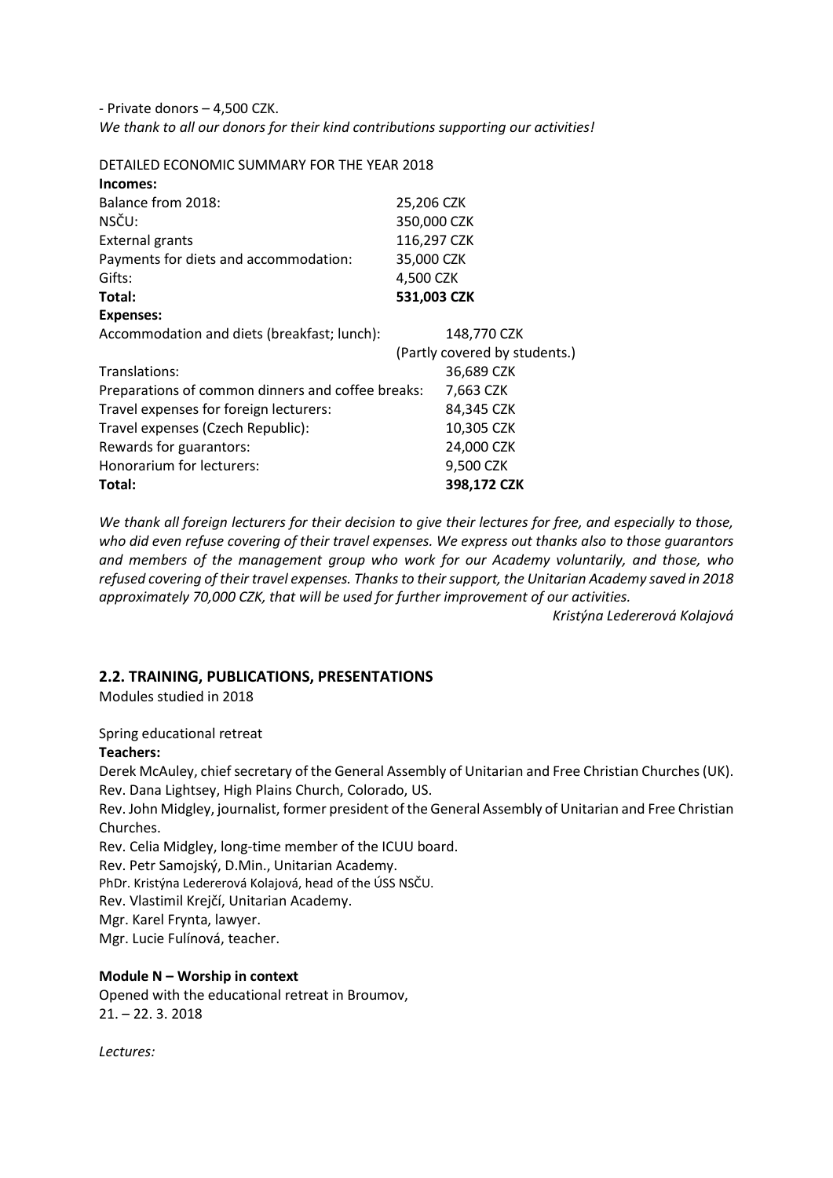- Private donors – 4,500 CZK. *We thank to all our donors for their kind contributions supporting our activities!*

DETAILED ECONOMIC SUMMARY FOR THE YEAR 2018 **Incomes:** Balance from 2018: 25,206 CZK NSČU: 350,000 CZK External grants 116,297 CZK Payments for diets and accommodation: 35,000 CZK Gifts: 4,500 CZK **Total: 531,003 CZK Expenses:** Accommodation and diets (breakfast; lunch): 148,770 CZK (Partly covered by students.) Translations: 36,689 CZK Preparations of common dinners and coffee breaks: 7,663 CZK Travel expenses for foreign lecturers: 84,345 CZK Travel expenses (Czech Republic): 10,305 CZK Rewards for guarantors: 24,000 CZK Honorarium for lecturers: 9,500 CZK **Total: 398,172 CZK**

*We thank all foreign lecturers for their decision to give their lectures for free, and especially to those, who did even refuse covering of their travel expenses. We express out thanks also to those guarantors and members of the management group who work for our Academy voluntarily, and those, who refused covering of their travel expenses. Thanks to their support, the Unitarian Academy saved in 2018 approximately 70,000 CZK, that will be used for further improvement of our activities.* 

*Kristýna Ledererová Kolajová*

## **2.2. TRAINING, PUBLICATIONS, PRESENTATIONS**

Modules studied in 2018

### Spring educational retreat

### **Teachers:**

Derek McAuley, chief secretary of the General Assembly of Unitarian and Free Christian Churches (UK). Rev. Dana Lightsey, High Plains Church, Colorado, US.

Rev. John Midgley, journalist, former president of the General Assembly of Unitarian and Free Christian Churches.

Rev. Celia Midgley, long-time member of the ICUU board.

Rev. Petr Samojský, D.Min., Unitarian Academy.

PhDr. Kristýna Ledererová Kolajová, head of the ÚSS NSČU.

Rev. Vlastimil Krejčí, Unitarian Academy.

Mgr. Karel Frynta, lawyer.

Mgr. Lucie Fulínová, teacher.

## **Module N – Worship in context**

Opened with the educational retreat in Broumov, 21. – 22. 3. 2018

*Lectures:*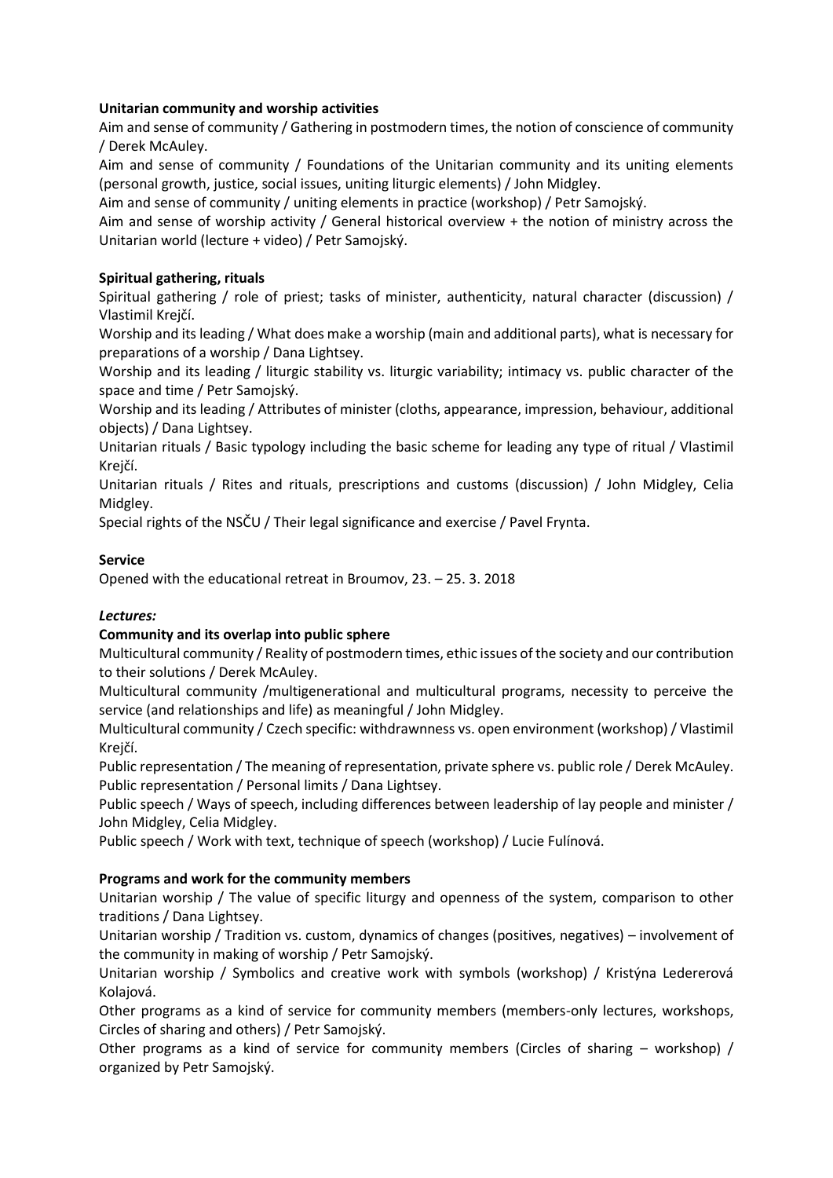## **Unitarian community and worship activities**

Aim and sense of community / Gathering in postmodern times, the notion of conscience of community / Derek McAuley.

Aim and sense of community / Foundations of the Unitarian community and its uniting elements (personal growth, justice, social issues, uniting liturgic elements) / John Midgley.

Aim and sense of community / uniting elements in practice (workshop) / Petr Samojský.

Aim and sense of worship activity / General historical overview + the notion of ministry across the Unitarian world (lecture + video) / Petr Samojský.

### **Spiritual gathering, rituals**

Spiritual gathering / role of priest; tasks of minister, authenticity, natural character (discussion) / Vlastimil Krejčí.

Worship and its leading / What does make a worship (main and additional parts), what is necessary for preparations of a worship / Dana Lightsey.

Worship and its leading / liturgic stability vs. liturgic variability; intimacy vs. public character of the space and time / Petr Samojský.

Worship and its leading / Attributes of minister (cloths, appearance, impression, behaviour, additional objects) / Dana Lightsey.

Unitarian rituals / Basic typology including the basic scheme for leading any type of ritual / Vlastimil Krejčí.

Unitarian rituals / Rites and rituals, prescriptions and customs (discussion) / John Midgley, Celia Midgley.

Special rights of the NSČU / Their legal significance and exercise / Pavel Frynta.

### **Service**

Opened with the educational retreat in Broumov, 23. – 25. 3. 2018

## *Lectures:*

## **Community and its overlap into public sphere**

Multicultural community / Reality of postmodern times, ethic issues of the society and our contribution to their solutions / Derek McAuley.

Multicultural community /multigenerational and multicultural programs, necessity to perceive the service (and relationships and life) as meaningful / John Midgley.

Multicultural community / Czech specific: withdrawnness vs. open environment (workshop) / Vlastimil Krejčí.

Public representation / The meaning of representation, private sphere vs. public role / Derek McAuley. Public representation / Personal limits / Dana Lightsey.

Public speech / Ways of speech, including differences between leadership of lay people and minister / John Midgley, Celia Midgley.

Public speech / Work with text, technique of speech (workshop) / Lucie Fulínová.

### **Programs and work for the community members**

Unitarian worship / The value of specific liturgy and openness of the system, comparison to other traditions / Dana Lightsey.

Unitarian worship / Tradition vs. custom, dynamics of changes (positives, negatives) – involvement of the community in making of worship / Petr Samojský.

Unitarian worship / Symbolics and creative work with symbols (workshop) / Kristýna Ledererová Kolajová.

Other programs as a kind of service for community members (members-only lectures, workshops, Circles of sharing and others) / Petr Samojský.

Other programs as a kind of service for community members (Circles of sharing – workshop) / organized by Petr Samojský.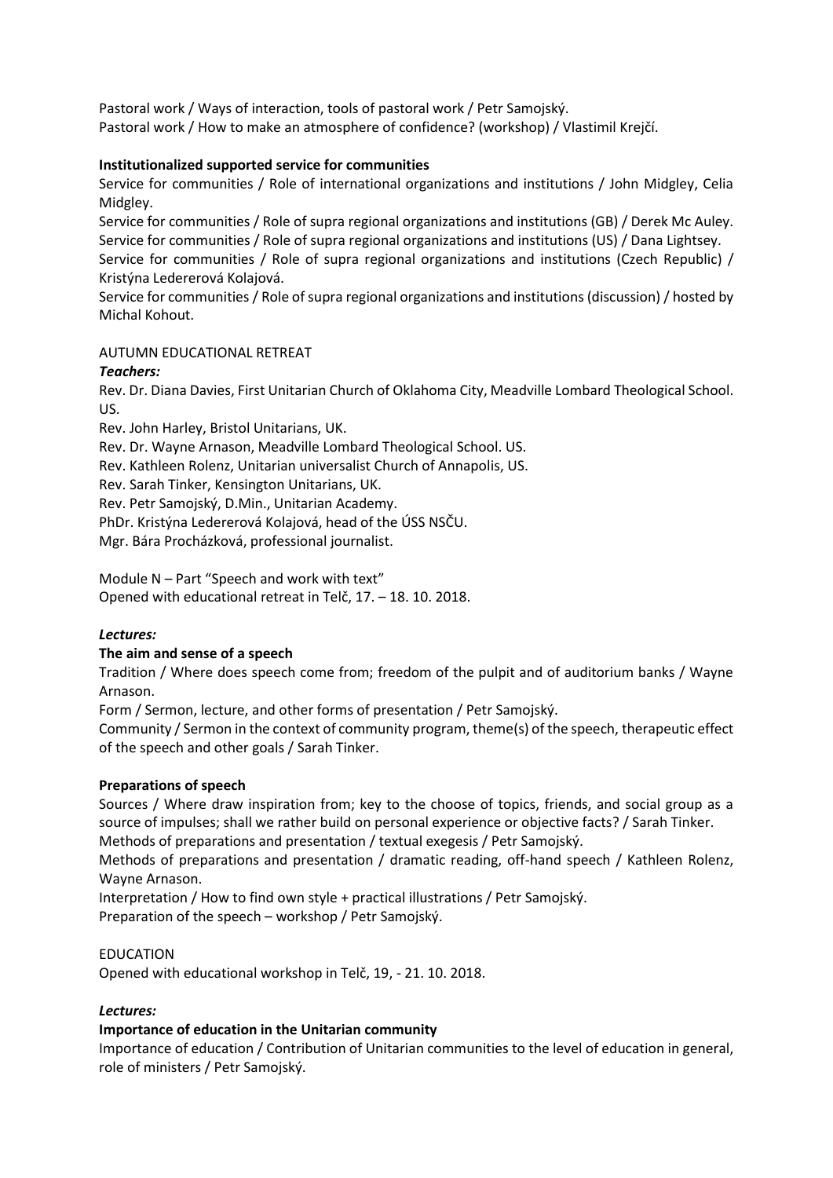Pastoral work / Ways of interaction, tools of pastoral work / Petr Samojský. Pastoral work / How to make an atmosphere of confidence? (workshop) / Vlastimil Krejčí.

## **Institutionalized supported service for communities**

Service for communities / Role of international organizations and institutions / John Midgley, Celia Midgley.

Service for communities / Role of supra regional organizations and institutions (GB) / Derek Mc Auley. Service for communities / Role of supra regional organizations and institutions (US) / Dana Lightsey. Service for communities / Role of supra regional organizations and institutions (Czech Republic) / Kristýna Ledererová Kolajová.

Service for communities / Role of supra regional organizations and institutions (discussion) / hosted by Michal Kohout.

### AUTUMN EDUCATIONAL RETREAT

### *Teachers:*

Rev. Dr. Diana Davies, First Unitarian Church of Oklahoma City, Meadville Lombard Theological School. US.

Rev. John Harley, Bristol Unitarians, UK.

Rev. Dr. Wayne Arnason, Meadville Lombard Theological School. US.

Rev. Kathleen Rolenz, Unitarian universalist Church of Annapolis, US.

Rev. Sarah Tinker, Kensington Unitarians, UK.

Rev. Petr Samojský, D.Min., Unitarian Academy.

PhDr. Kristýna Ledererová Kolajová, head of the ÚSS NSČU.

Mgr. Bára Procházková, professional journalist.

Module N – Part "Speech and work with text" Opened with educational retreat in Telč, 17. – 18. 10. 2018.

### *Lectures:*

### **The aim and sense of a speech**

Tradition / Where does speech come from; freedom of the pulpit and of auditorium banks / Wayne Arnason.

Form / Sermon, lecture, and other forms of presentation / Petr Samojský.

Community / Sermon in the context of community program, theme(s) of the speech, therapeutic effect of the speech and other goals / Sarah Tinker.

### **Preparations of speech**

Sources / Where draw inspiration from; key to the choose of topics, friends, and social group as a source of impulses; shall we rather build on personal experience or objective facts? / Sarah Tinker.

Methods of preparations and presentation / textual exegesis / Petr Samojský.

Methods of preparations and presentation / dramatic reading, off-hand speech / Kathleen Rolenz, Wayne Arnason.

Interpretation / How to find own style + practical illustrations / Petr Samojský. Preparation of the speech – workshop / Petr Samojský.

### EDUCATION

Opened with educational workshop in Telč, 19, - 21. 10. 2018.

### *Lectures:*

## **Importance of education in the Unitarian community**

Importance of education / Contribution of Unitarian communities to the level of education in general, role of ministers / Petr Samojský.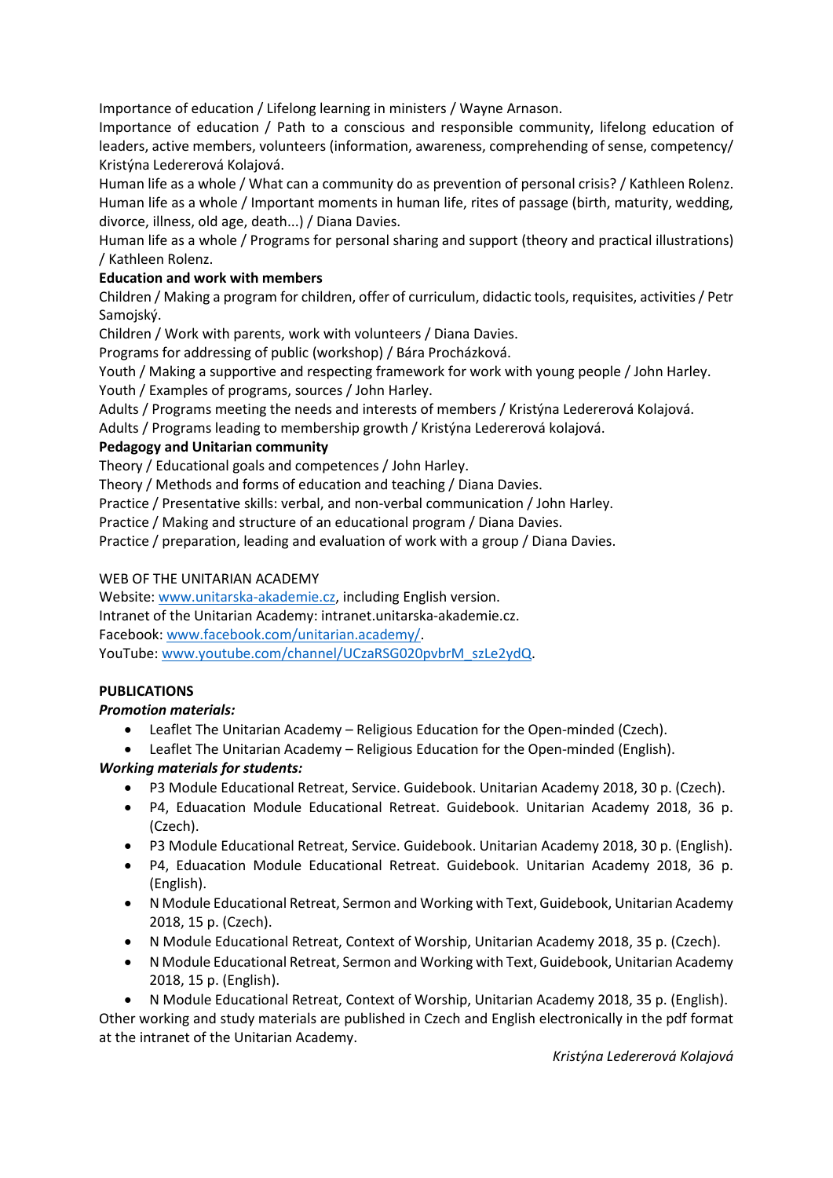Importance of education / Lifelong learning in ministers / Wayne Arnason.

Importance of education / Path to a conscious and responsible community, lifelong education of leaders, active members, volunteers (information, awareness, comprehending of sense, competency/ Kristýna Ledererová Kolajová.

Human life as a whole / What can a community do as prevention of personal crisis? / Kathleen Rolenz. Human life as a whole / Important moments in human life, rites of passage (birth, maturity, wedding, divorce, illness, old age, death...) / Diana Davies.

Human life as a whole / Programs for personal sharing and support (theory and practical illustrations) / Kathleen Rolenz.

## **Education and work with members**

Children / Making a program for children, offer of curriculum, didactic tools, requisites, activities / Petr Samoiský.

Children / Work with parents, work with volunteers / Diana Davies.

Programs for addressing of public (workshop) / Bára Procházková.

Youth / Making a supportive and respecting framework for work with young people / John Harley. Youth / Examples of programs, sources / John Harley.

Adults / Programs meeting the needs and interests of members / Kristýna Ledererová Kolajová.

Adults / Programs leading to membership growth / Kristýna Ledererová kolajová.

## **Pedagogy and Unitarian community**

Theory / Educational goals and competences / John Harley.

Theory / Methods and forms of education and teaching / Diana Davies.

Practice / Presentative skills: verbal, and non-verbal communication / John Harley.

Practice / Making and structure of an educational program / Diana Davies.

Practice / preparation, leading and evaluation of work with a group / Diana Davies.

## WEB OF THE UNITARIAN ACADEMY

Website: [www.unitarska-akademie.cz,](http://www.unitarska-akademie.cz/) including English version. Intranet of the Unitarian Academy: intranet.unitarska-akademie.cz. Facebook: [www.facebook.com/unitarian.academy/.](http://www.facebook.com/unitarian.academy/) YouTube[: www.youtube.com/channel/UCzaRSG020pvbrM\\_szLe2ydQ.](http://www.youtube.com/channel/UCzaRSG020pvbrM_szLe2ydQ)

# **PUBLICATIONS**

## *Promotion materials:*

- Leaflet The Unitarian Academy Religious Education for the Open-minded (Czech).
- Leaflet The Unitarian Academy Religious Education for the Open-minded (English).

# *Working materials for students:*

- P3 Module Educational Retreat, Service. Guidebook. Unitarian Academy 2018, 30 p. (Czech).
- P4, Eduacation Module Educational Retreat. Guidebook. Unitarian Academy 2018, 36 p. (Czech).
- P3 Module Educational Retreat, Service. Guidebook. Unitarian Academy 2018, 30 p. (English).
- P4, Eduacation Module Educational Retreat. Guidebook. Unitarian Academy 2018, 36 p. (English).
- N Module Educational Retreat, Sermon and Working with Text, Guidebook, Unitarian Academy 2018, 15 p. (Czech).
- N Module Educational Retreat, Context of Worship, Unitarian Academy 2018, 35 p. (Czech).
- N Module Educational Retreat, Sermon and Working with Text, Guidebook, Unitarian Academy 2018, 15 p. (English).
- N Module Educational Retreat, Context of Worship, Unitarian Academy 2018, 35 p. (English).

Other working and study materials are published in Czech and English electronically in the pdf format at the intranet of the Unitarian Academy.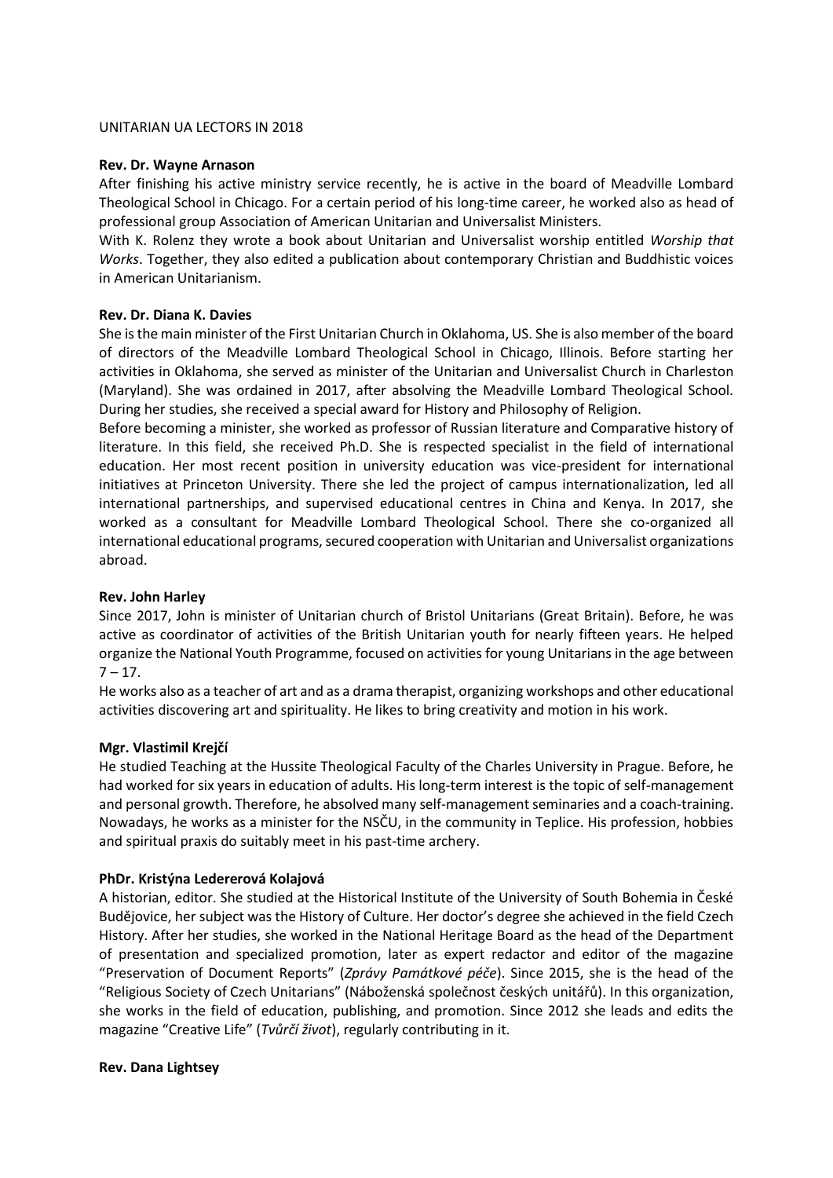#### UNITARIAN UA LECTORS IN 2018

#### **Rev. Dr. Wayne Arnason**

After finishing his active ministry service recently, he is active in the board of Meadville Lombard Theological School in Chicago. For a certain period of his long-time career, he worked also as head of professional group Association of American Unitarian and Universalist Ministers.

With K. Rolenz they wrote a book about Unitarian and Universalist worship entitled *Worship that Works*. Together, they also edited a publication about contemporary Christian and Buddhistic voices in American Unitarianism.

### **Rev. Dr. Diana K. Davies**

She is the main minister of the First Unitarian Church in Oklahoma, US. She is also member of the board of directors of the Meadville Lombard Theological School in Chicago, Illinois. Before starting her activities in Oklahoma, she served as minister of the Unitarian and Universalist Church in Charleston (Maryland). She was ordained in 2017, after absolving the Meadville Lombard Theological School. During her studies, she received a special award for History and Philosophy of Religion.

Before becoming a minister, she worked as professor of Russian literature and Comparative history of literature. In this field, she received Ph.D. She is respected specialist in the field of international education. Her most recent position in university education was vice-president for international initiatives at Princeton University. There she led the project of campus internationalization, led all international partnerships, and supervised educational centres in China and Kenya. In 2017, she worked as a consultant for Meadville Lombard Theological School. There she co-organized all international educational programs, secured cooperation with Unitarian and Universalist organizations abroad.

### **Rev. John Harley**

Since 2017, John is minister of Unitarian church of Bristol Unitarians (Great Britain). Before, he was active as coordinator of activities of the British Unitarian youth for nearly fifteen years. He helped organize the National Youth Programme, focused on activities for young Unitarians in the age between  $7 - 17.$ 

He works also as a teacher of art and as a drama therapist, organizing workshops and other educational activities discovering art and spirituality. He likes to bring creativity and motion in his work.

### **Mgr. Vlastimil Krejčí**

He studied Teaching at the Hussite Theological Faculty of the Charles University in Prague. Before, he had worked for six years in education of adults. His long-term interest is the topic of self-management and personal growth. Therefore, he absolved many self-management seminaries and a coach-training. Nowadays, he works as a minister for the NSČU, in the community in Teplice. His profession, hobbies and spiritual praxis do suitably meet in his past-time archery.

### **PhDr. Kristýna Ledererová Kolajová**

A historian, editor. She studied at the Historical Institute of the University of South Bohemia in České Budějovice, her subject was the History of Culture. Her doctor's degree she achieved in the field Czech History. After her studies, she worked in the National Heritage Board as the head of the Department of presentation and specialized promotion, later as expert redactor and editor of the magazine "Preservation of Document Reports" (*Zprávy Památkové péče*). Since 2015, she is the head of the "Religious Society of Czech Unitarians" (Náboženská společnost českých unitářů). In this organization, she works in the field of education, publishing, and promotion. Since 2012 she leads and edits the magazine "Creative Life" (*Tvůrčí život*), regularly contributing in it.

#### **Rev. Dana Lightsey**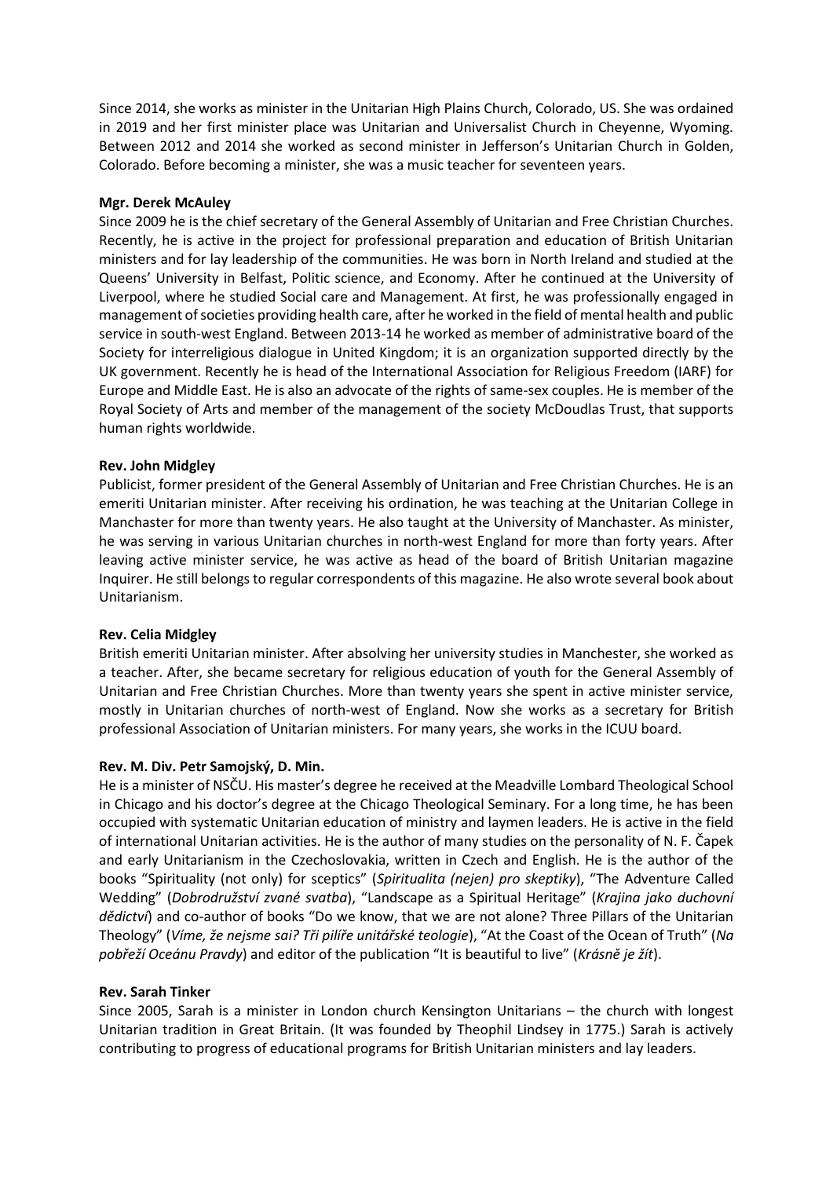Since 2014, she works as minister in the Unitarian High Plains Church, Colorado, US. She was ordained in 2019 and her first minister place was Unitarian and Universalist Church in Cheyenne, Wyoming. Between 2012 and 2014 she worked as second minister in Jefferson's Unitarian Church in Golden, Colorado. Before becoming a minister, she was a music teacher for seventeen years.

### **Mgr. Derek McAuley**

Since 2009 he is the chief secretary of the General Assembly of Unitarian and Free Christian Churches. Recently, he is active in the project for professional preparation and education of British Unitarian ministers and for lay leadership of the communities. He was born in North Ireland and studied at the Queens' University in Belfast, Politic science, and Economy. After he continued at the University of Liverpool, where he studied Social care and Management. At first, he was professionally engaged in management of societies providing health care, after he worked in the field of mental health and public service in south-west England. Between 2013-14 he worked as member of administrative board of the Society for interreligious dialogue in United Kingdom; it is an organization supported directly by the UK government. Recently he is head of the International Association for Religious Freedom (IARF) for Europe and Middle East. He is also an advocate of the rights of same-sex couples. He is member of the Royal Society of Arts and member of the management of the society McDoudlas Trust, that supports human rights worldwide.

#### **Rev. John Midgley**

Publicist, former president of the General Assembly of Unitarian and Free Christian Churches. He is an emeriti Unitarian minister. After receiving his ordination, he was teaching at the Unitarian College in Manchaster for more than twenty years. He also taught at the University of Manchaster. As minister, he was serving in various Unitarian churches in north-west England for more than forty years. After leaving active minister service, he was active as head of the board of British Unitarian magazine Inquirer. He still belongs to regular correspondents of this magazine. He also wrote several book about Unitarianism.

#### **Rev. Celia Midgley**

British emeriti Unitarian minister. After absolving her university studies in Manchester, she worked as a teacher. After, she became secretary for religious education of youth for the General Assembly of Unitarian and Free Christian Churches. More than twenty years she spent in active minister service, mostly in Unitarian churches of north-west of England. Now she works as a secretary for British professional Association of Unitarian ministers. For many years, she works in the ICUU board.

#### **Rev. M. Div. Petr Samojský, D. Min.**

He is a minister of NSČU. His master's degree he received at the Meadville Lombard Theological School in Chicago and his doctor's degree at the Chicago Theological Seminary. For a long time, he has been occupied with systematic Unitarian education of ministry and laymen leaders. He is active in the field of international Unitarian activities. He is the author of many studies on the personality of N. F. Čapek and early Unitarianism in the Czechoslovakia, written in Czech and English. He is the author of the books "Spirituality (not only) for sceptics" (*Spiritualita (nejen) pro skeptiky*), "The Adventure Called Wedding" (*Dobrodružství zvané svatba*), "Landscape as a Spiritual Heritage" (*Krajina jako duchovní dědictví*) and co-author of books "Do we know, that we are not alone? Three Pillars of the Unitarian Theology" (*Víme, že nejsme sai? Tři pilíře unitářské teologie*), "At the Coast of the Ocean of Truth" (*Na pobřeží Oceánu Pravdy*) and editor of the publication "It is beautiful to live" (*Krásně je žít*).

#### **Rev. Sarah Tinker**

Since 2005, Sarah is a minister in London church Kensington Unitarians – the church with longest Unitarian tradition in Great Britain. (It was founded by Theophil Lindsey in 1775.) Sarah is actively contributing to progress of educational programs for British Unitarian ministers and lay leaders.